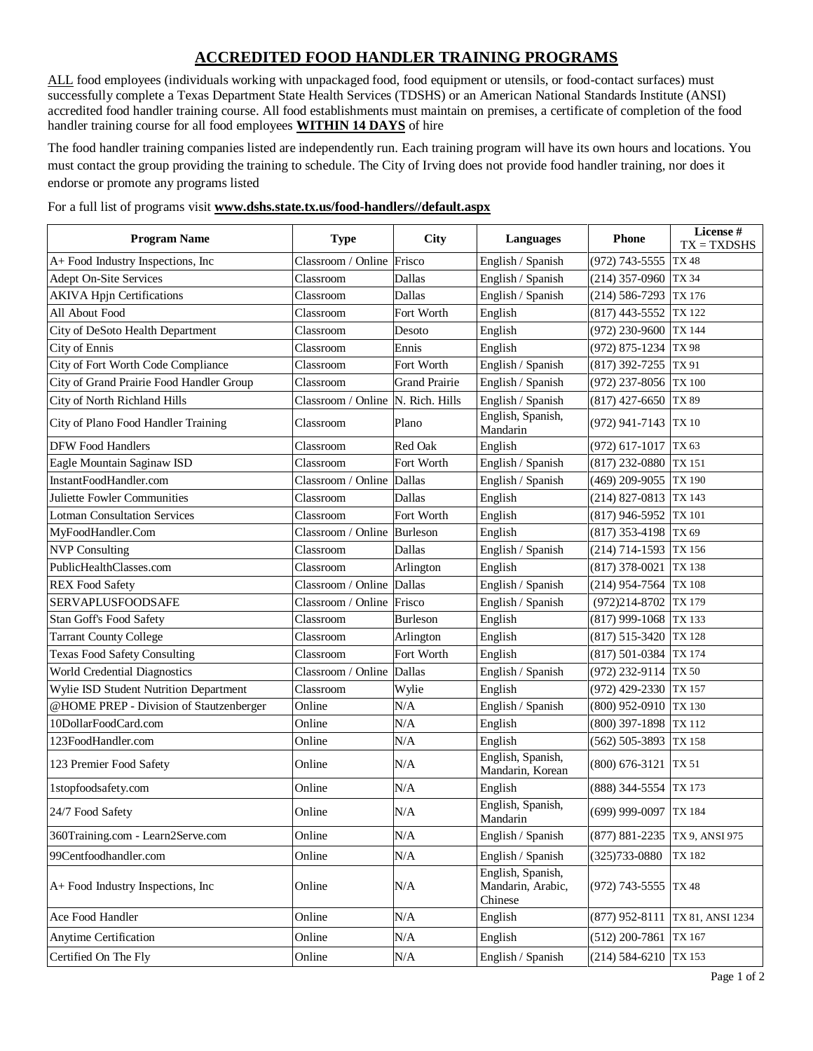## **ACCREDITED FOOD HANDLER TRAINING PROGRAMS**

ALL food employees (individuals working with unpackaged food, food equipment or utensils, or food-contact surfaces) must successfully complete a Texas Department State Health Services (TDSHS) or an American National Standards Institute (ANSI) accredited food handler training course. All food establishments must maintain on premises, a certificate of completion of the food handler training course for all food employees **WITHIN 14 DAYS** of hire

The food handler training companies listed are independently run. Each training program will have its own hours and locations. You must contact the group providing the training to schedule. The City of Irving does not provide food handler training, nor does it endorse or promote any programs listed

## For a full list of programs visit **[www.dshs.state.tx.us/food-handlers//default.aspx](http://www.dshs.state.tx.us/food-handlers/default.aspx)**

| <b>Program Name</b>                      | <b>Type</b>        | <b>City</b>          | <b>Languages</b>                                  | <b>Phone</b>          | License #<br>$TX = TXDSHS$ |
|------------------------------------------|--------------------|----------------------|---------------------------------------------------|-----------------------|----------------------------|
| A+ Food Industry Inspections, Inc        | Classroom / Online | Frisco               | English / Spanish                                 | $(972)$ 743-5555      | <b>TX48</b>                |
| Adept On-Site Services                   | Classroom          | Dallas               | English / Spanish                                 | $(214)$ 357-0960      | TX 34                      |
| <b>AKIVA Hpjn Certifications</b>         | Classroom          | Dallas               | English / Spanish                                 | $(214) 586 - 7293$    | TX 176                     |
| All About Food                           | Classroom          | Fort Worth           | English                                           | $(817)$ 443-5552      | TX 122                     |
| City of DeSoto Health Department         | Classroom          | Desoto               | English                                           | (972) 230-9600        | TX 144                     |
| City of Ennis                            | Classroom          | Ennis                | English                                           | (972) 875-1234        | TX 98                      |
| City of Fort Worth Code Compliance       | Classroom          | Fort Worth           | English / Spanish                                 | $(817)$ 392-7255      | TX 91                      |
| City of Grand Prairie Food Handler Group | Classroom          | <b>Grand Prairie</b> | English / Spanish                                 | $(972)$ 237-8056      | <b>TX 100</b>              |
| <b>City of North Richland Hills</b>      | Classroom / Online | N. Rich. Hills       | English / Spanish                                 | $(817)$ 427-6650      | TX 89                      |
| City of Plano Food Handler Training      | Classroom          | Plano                | English, Spanish,<br>Mandarin                     | (972) 941-7143 TX 10  |                            |
| <b>DFW Food Handlers</b>                 | Classroom          | Red Oak              | English                                           | (972) 617-1017        | TX 63                      |
| Eagle Mountain Saginaw ISD               | Classroom          | Fort Worth           | English / Spanish                                 | (817) 232-0880        | TX 151                     |
| InstantFoodHandler.com                   | Classroom / Online | Dallas               | English / Spanish                                 | (469) 209-9055        | <b>TX 190</b>              |
| Juliette Fowler Communities              | Classroom          | Dallas               | English                                           | $(214)$ 827-0813      | TX 143                     |
| <b>Lotman Consultation Services</b>      | Classroom          | Fort Worth           | English                                           | $(817)$ 946-5952      | <b>TX 101</b>              |
| MyFoodHandler.Com                        | Classroom / Online | Burleson             | English                                           | (817) 353-4198 TX 69  |                            |
| <b>NVP Consulting</b>                    | Classroom          | Dallas               | English / Spanish                                 | $(214)$ 714-1593      | TX 156                     |
| PublicHealthClasses.com                  | Classroom          | Arlington            | English                                           | $(817)$ 378-0021      | <b>TX138</b>               |
| <b>REX Food Safety</b>                   | Classroom / Online | Dallas               | English / Spanish                                 | $(214)$ 954-7564      | <b>TX 108</b>              |
| SERVAPLUSFOODSAFE                        | Classroom / Online | Frisco               | English / Spanish                                 | $(972)214 - 8702$     | TX 179                     |
| Stan Goff's Food Safety                  | Classroom          | <b>Burleson</b>      | English                                           | $(817)$ 999-1068      | TX 133                     |
| <b>Tarrant County College</b>            | Classroom          | Arlington            | English                                           | $(817) 515 - 3420$    | TX 128                     |
| <b>Texas Food Safety Consulting</b>      | Classroom          | Fort Worth           | English                                           | $(817)$ 501-0384      | TX 174                     |
| <b>World Credential Diagnostics</b>      | Classroom / Online | Dallas               | English / Spanish                                 | (972) 232-9114        | <b>TX 50</b>               |
| Wylie ISD Student Nutrition Department   | Classroom          | Wylie                | English                                           | $(972)$ 429-2330      | <b>TX157</b>               |
| @HOME PREP - Division of Stautzenberger  | Online             | N/A                  | English / Spanish                                 | $(800)$ 952-0910      | TX 130                     |
| 10DollarFoodCard.com                     | Online             | N/A                  | English                                           | $(800)$ 397-1898      | TX 112                     |
| 123FoodHandler.com                       | Online             | N/A                  | English                                           | $(562) 505 - 3893$    | TX 158                     |
| 123 Premier Food Safety                  | Online             | N/A                  | English, Spanish,<br>Mandarin, Korean             | $(800)$ 676-3121      | <b>TX 51</b>               |
| 1stopfoodsafety.com                      | Online             | N/A                  | English                                           | (888) 344-5554        | TX 173                     |
| 24/7 Food Safety                         | Online             | N/A                  | English, Spanish,<br>Mandarin                     | (699) 999-0097 TX 184 |                            |
| 360Training.com - Learn2Serve.com        | Online             | N/A                  | English / Spanish                                 | $(877) 881 - 2235$    | TX 9, ANSI 975             |
| 99Centfoodhandler.com                    | Online             | N/A                  | English / Spanish                                 | (325) 733-0880        | TX 182                     |
| A+ Food Industry Inspections, Inc        | Online             | N/A                  | English, Spanish,<br>Mandarin, Arabic,<br>Chinese | $(972)$ 743-5555      | TX 48                      |
| Ace Food Handler                         | Online             | N/A                  | English                                           | $(877)$ 952-8111      | TX 81, ANSI 1234           |
| Anytime Certification                    | Online             | N/A                  | English                                           | $(512)$ 200-7861      | TX 167                     |
| Certified On The Fly                     | Online             | N/A                  | English / Spanish                                 | $(214)$ 584-6210      | TX 153                     |